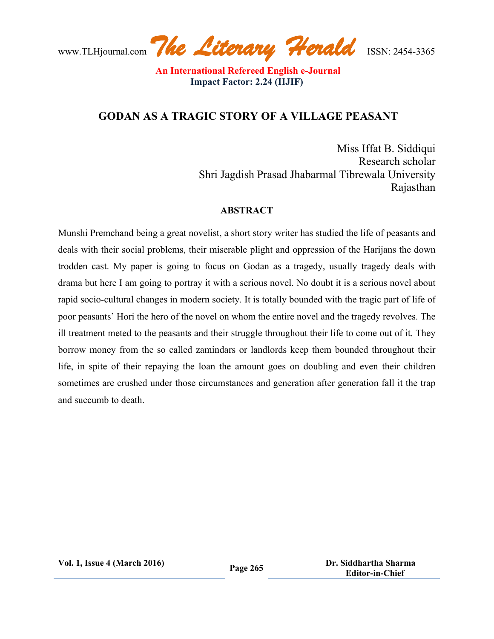www.TLHjournal.com *The Literary Herald*ISSN: 2454-3365

# **GODAN AS A TRAGIC STORY OF A VILLAGE PEASANT**

Miss Iffat B. Siddiqui Research scholar Shri Jagdish Prasad Jhabarmal Tibrewala University Rajasthan

#### **ABSTRACT**

Munshi Premchand being a great novelist, a short story writer has studied the life of peasants and deals with their social problems, their miserable plight and oppression of the Harijans the down trodden cast. My paper is going to focus on Godan as a tragedy, usually tragedy deals with drama but here I am going to portray it with a serious novel. No doubt it is a serious novel about rapid socio-cultural changes in modern society. It is totally bounded with the tragic part of life of poor peasants' Hori the hero of the novel on whom the entire novel and the tragedy revolves. The ill treatment meted to the peasants and their struggle throughout their life to come out of it. They borrow money from the so called zamindars or landlords keep them bounded throughout their life, in spite of their repaying the loan the amount goes on doubling and even their children sometimes are crushed under those circumstances and generation after generation fall it the trap and succumb to death.

**Vol. 1, Issue <sup>4</sup> (March 2016) Page <sup>265</sup> Dr. Siddhartha Sharma Editor-in-Chief**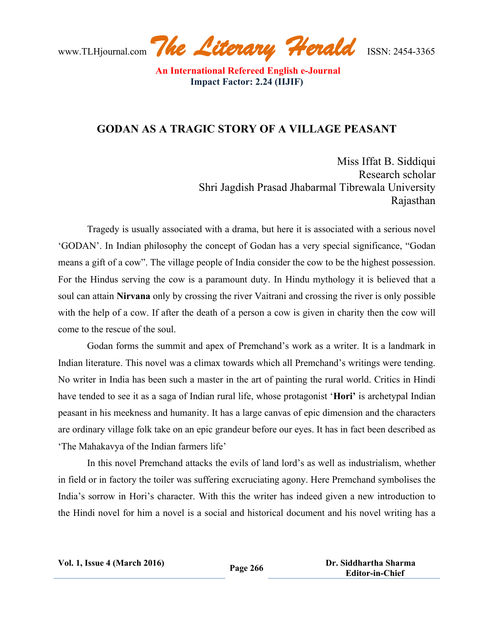www.TLHjournal.com *The Literary Herald*ISSN: 2454-3365

## **GODAN AS A TRAGIC STORY OF A VILLAGE PEASANT**

Miss Iffat B. Siddiqui Research scholar Shri Jagdish Prasad Jhabarmal Tibrewala University Rajasthan

Tragedy is usually associated with a drama, but here it is associated with a serious novel 'GODAN'. In Indian philosophy the concept of Godan has a very special significance, "Godan means a gift of a cow". The village people of India consider the cow to be the highest possession. For the Hindus serving the cow is a paramount duty. In Hindu mythology it is believed that a soul can attain **Nirvana** only by crossing the river Vaitrani and crossing the river is only possible with the help of a cow. If after the death of a person a cow is given in charity then the cow will come to the rescue of the soul.

Godan forms the summit and apex of Premchand's work as a writer. It is a landmark in Indian literature. This novel was a climax towards which all Premchand's writings were tending. No writer in India has been such a master in the art of painting the rural world. Critics in Hindi have tended to see it as a saga of Indian rural life, whose protagonist '**Hori'** is archetypal Indian peasant in his meekness and humanity. It has a large canvas of epic dimension and the characters are ordinary village folk take on an epic grandeur before our eyes. It has in fact been described as 'The Mahakavya of the Indian farmers life'

In this novel Premchand attacks the evils of land lord's as well as industrialism, whether in field or in factory the toiler was suffering excruciating agony. Here Premchand symbolises the India's sorrow in Hori's character. With this the writer has indeed given a new introduction to the Hindi novel for him a novel is a social and historical document and his novel writing has a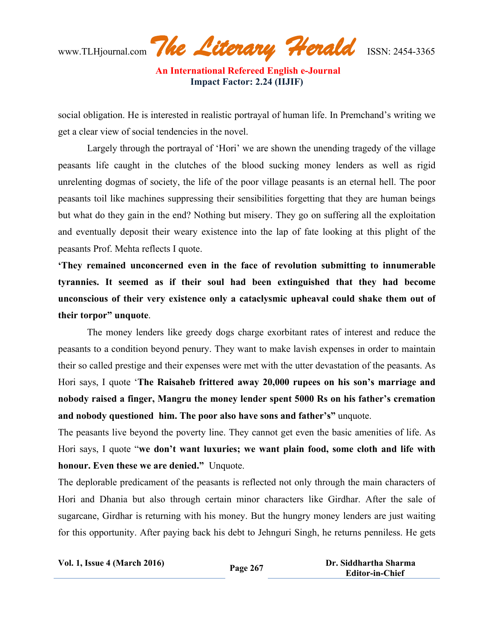www.TLHjournal.com *The Literary Herald*ISSN: 2454-3365

social obligation. He is interested in realistic portrayal of human life. In Premchand's writing we get a clear view of social tendencies in the novel.

Largely through the portrayal of 'Hori' we are shown the unending tragedy of the village peasants life caught in the clutches of the blood sucking money lenders as well as rigid unrelenting dogmas of society, the life of the poor village peasants is an eternal hell. The poor peasants toil like machines suppressing their sensibilities forgetting that they are human beings but what do they gain in the end? Nothing but misery. They go on suffering all the exploitation and eventually deposit their weary existence into the lap of fate looking at this plight of the peasants Prof. Mehta reflects I quote.

**'They remained unconcerned even in the face of revolution submitting to innumerable tyrannies. It seemed as if their soul had been extinguished that they had become unconscious of their very existence only a cataclysmic upheaval could shake them out of their torpor" unquote**.

The money lenders like greedy dogs charge exorbitant rates of interest and reduce the peasants to a condition beyond penury. They want to make lavish expenses in order to maintain their so called prestige and their expenses were met with the utter devastation of the peasants. As Hori says, I quote '**The Raisaheb frittered away 20,000 rupees on his son's marriage and nobody raised a finger, Mangru the money lender spent 5000 Rs on his father's cremation and nobody questioned him. The poor also have sons and father's"** unquote.

The peasants live beyond the poverty line. They cannot get even the basic amenities of life. As Hori says, I quote "**we don't want luxuries; we want plain food, some cloth and life with honour. Even these we are denied."** Unquote.

The deplorable predicament of the peasants is reflected not only through the main characters of Hori and Dhania but also through certain minor characters like Girdhar. After the sale of sugarcane, Girdhar is returning with his money. But the hungry money lenders are just waiting for this opportunity. After paying back his debt to Jehnguri Singh, he returns penniless. He gets

| <b>Vol. 1, Issue 4 (March 2016)</b> | Page 267 | Dr. Siddhartha Sharma  |
|-------------------------------------|----------|------------------------|
|                                     |          | <b>Editor-in-Chief</b> |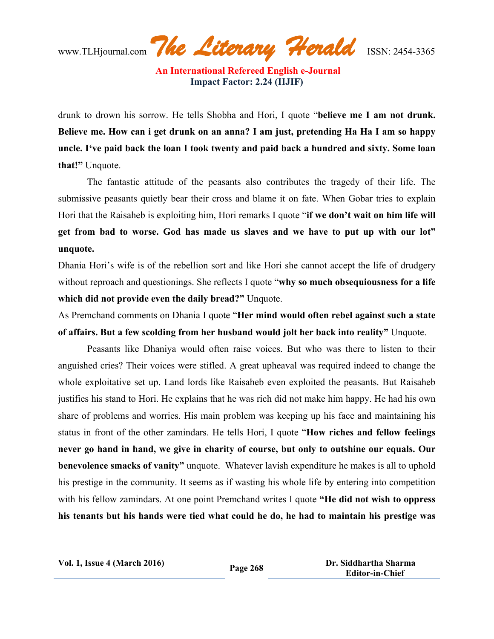www.TLHjournal.com *The Literary Herald*ISSN: 2454-3365

drunk to drown his sorrow. He tells Shobha and Hori, I quote "**believe me I am not drunk.** Believe me. How can i get drunk on an anna? I am just, pretending Ha Ha I am so happy **uncle. I've paid back the loan I took twenty and paid back a hundred and sixty. Some loan that!"** Unquote.

The fantastic attitude of the peasants also contributes the tragedy of their life. The submissive peasants quietly bear their cross and blame it on fate. When Gobar tries to explain Hori that the Raisaheb is exploiting him, Hori remarks I quote "**if we don't wait on him life will get from bad to worse. God has made us slaves and we have to put up with our lot" unquote.**

Dhania Hori's wife is of the rebellion sort and like Hori she cannot accept the life of drudgery without reproach and questionings. She reflects I quote "**why so much obsequiousness for a life which did not provide even the daily bread?"** Unquote.

As Premchand comments on Dhania I quote "**Her mind would often rebel against such a state of affairs. But a few scolding from her husband would jolt her back into reality"** Unquote.

Peasants like Dhaniya would often raise voices. But who was there to listen to their anguished cries? Their voices were stifled. A great upheaval was required indeed to change the whole exploitative set up. Land lords like Raisaheb even exploited the peasants. But Raisaheb justifies his stand to Hori. He explains that he was rich did not make him happy. He had his own share of problems and worries. His main problem was keeping up his face and maintaining his status in front of the other zamindars. He tells Hori, I quote "**How riches and fellow feelings never go hand in hand, we give in charity of course, but only to outshine our equals. Our benevolence smacks of vanity"** unquote.Whatever lavish expenditure he makes is all to uphold his prestige in the community. It seems as if wasting his whole life by entering into competition with his fellow zamindars. At one point Premchand writes I quote **"He did not wish to oppress his tenants but his hands were tied what could he do, he had to maintain his prestige was**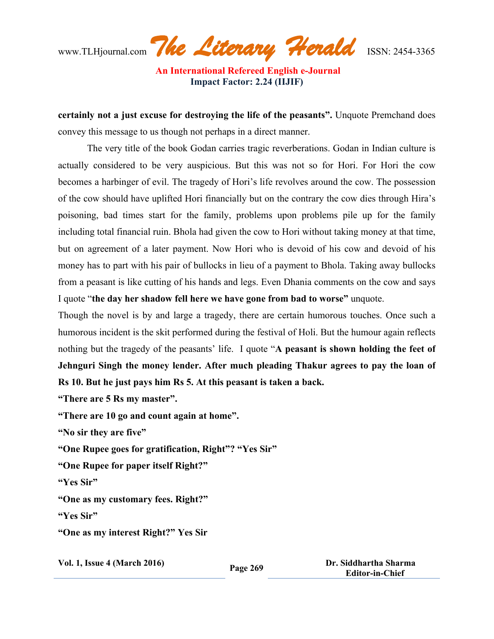www.TLHjournal.com *The Literary Herald*ISSN: 2454-3365

**certainly not a just excuse for destroying the life of the peasants".** Unquote Premchand does convey this message to us though not perhaps in a direct manner.

The very title of the book Godan carries tragic reverberations. Godan in Indian culture is actually considered to be very auspicious. But this was not so for Hori. For Hori the cow becomes a harbinger of evil. The tragedy of Hori's life revolves around the cow. The possession of the cow should have uplifted Hori financially but on the contrary the cow dies through Hira's poisoning, bad times start for the family, problems upon problems pile up for the family including total financial ruin. Bhola had given the cow to Hori without taking money at that time, but on agreement of a later payment. Now Hori who is devoid of his cow and devoid of his money has to part with his pair of bullocks in lieu of a payment to Bhola. Taking away bullocks from a peasant is like cutting of his hands and legs. Even Dhania comments on the cow and says I quote "**the day her shadow fell here we have gone from bad to worse"** unquote.

Though the novel is by and large a tragedy, there are certain humorous touches. Once such a humorous incident is the skit performed during the festival of Holi. But the humour again reflects nothing but the tragedy of the peasants' life. I quote "**A peasant is shown holding the feet of Jehnguri Singh the money lender. After much pleading Thakur agrees to pay the loan of Rs 10. But he just pays him Rs 5. At this peasant is taken a back.**

**"There are 5 Rs my master".**

**"There are 10 go and count again at home".**

**"No sir they are five"**

**"One Rupee goes for gratification, Right"? "Yes Sir"**

**"One Rupee for paper itself Right?"**

**"Yes Sir"**

**"One as my customary fees. Right?"**

**"Yes Sir"**

**"One as my interest Right?" Yes Sir**

**Vol. 1, Issue <sup>4</sup> (March 2016) Page <sup>269</sup> Dr. Siddhartha Sharma Editor-in-Chief**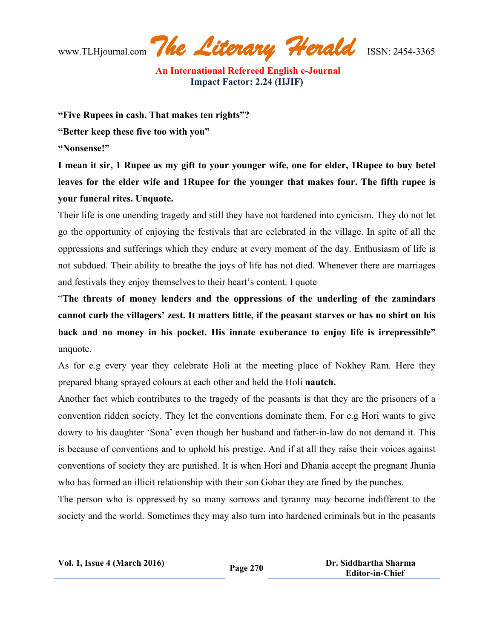www.TLHjournal.com *The Literary Herald*ISSN: 2454-3365

**"Five Rupees in cash. That makes ten rights"?**

**"Better keep these five too with you"**

**"Nonsense!"**

I mean it sir, 1 Rupee as my gift to your younger wife, one for elder, 1 Rupee to buy betel **leaves for the elder wife and 1Rupee for the younger that makes four. The fifth rupee is your funeral rites. Unquote.**

Their life is one unending tragedy and still they have not hardened into cynicism. They do not let go the opportunity of enjoying the festivals that are celebrated in the village. In spite of all the oppressions and sufferings which they endure at every moment of the day. Enthusiasm of life is not subdued. Their ability to breathe the joys of life has not died. Whenever there are marriages and festivals they enjoy themselves to their heart's content. I quote

"**The threats of money lenders and the oppressions of the underling of the zamindars cannot curb the villagers' zest. It matters little, if the peasant starves or has no shirt on his back and no money in his pocket. His innate exuberance to enjoy life is irrepressible"** unquote.

As for e.g every year they celebrate Holi at the meeting place of Nokhey Ram. Here they prepared bhang sprayed colours at each other and held the Holi **nautch.**

Another fact which contributes to the tragedy of the peasants is that they are the prisoners of a convention ridden society. They let the conventions dominate them. For e.g Hori wants to give dowry to his daughter 'Sona' even though her husband and father-in-law do not demand it. This is because of conventions and to uphold his prestige. And if at all they raise their voices against conventions of society they are punished. It is when Hori and Dhania accept the pregnant Jhunia who has formed an illicit relationship with their son Gobar they are fined by the punches.

The person who is oppressed by so many sorrows and tyranny may become indifferent to the society and the world. Sometimes they may also turn into hardened criminals but in the peasants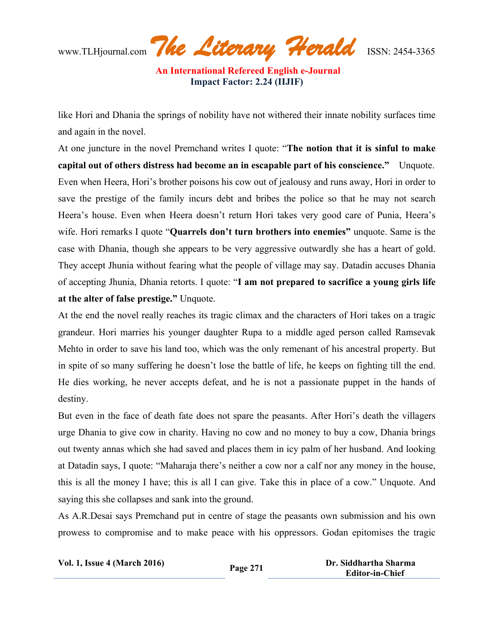www.TLHjournal.com *The Literary Herald*ISSN: 2454-3365

like Hori and Dhania the springs of nobility have not withered their innate nobility surfaces time and again in the novel.

At one juncture in the novel Premchand writes I quote: "**The notion that it is sinful to make capital out of others distress had become an in escapable part of his conscience."** Unquote. Even when Heera, Hori's brother poisons his cow out of jealousy and runs away, Hori in order to save the prestige of the family incurs debt and bribes the police so that he may not search Heera's house. Even when Heera doesn't return Hori takes very good care of Punia, Heera's wife. Hori remarks I quote "**Quarrels don't turn brothers into enemies"** unquote. Same is the case with Dhania, though she appears to be very aggressive outwardly she has a heart of gold. They accept Jhunia without fearing what the people of village may say. Datadin accuses Dhania of accepting Jhunia, Dhania retorts. I quote: "**I am not prepared to sacrifice a young girls life at the alter of false prestige."** Unquote.

At the end the novel really reaches its tragic climax and the characters of Hori takes on a tragic grandeur. Hori marries his younger daughter Rupa to a middle aged person called Ramsevak Mehto in order to save his land too, which was the only remenant of his ancestral property. But in spite of so many suffering he doesn't lose the battle of life, he keeps on fighting till the end. He dies working, he never accepts defeat, and he is not a passionate puppet in the hands of destiny.

But even in the face of death fate does not spare the peasants. After Hori's death the villagers urge Dhania to give cow in charity. Having no cow and no money to buy a cow, Dhania brings out twenty annas which she had saved and places them in icy palm of her husband. And looking at Datadin says, I quote: "Maharaja there's neither a cow nor a calf nor any money in the house, this is all the money I have; this is all I can give. Take this in place of a cow." Unquote. And saying this she collapses and sank into the ground.

As A.R.Desai says Premchand put in centre of stage the peasants own submission and his own prowess to compromise and to make peace with his oppressors. Godan epitomises the tragic

| <b>Vol. 1, Issue 4 (March 2016)</b> | Page 271 | Dr. Siddhartha Sharma  |
|-------------------------------------|----------|------------------------|
|                                     |          | <b>Editor-in-Chief</b> |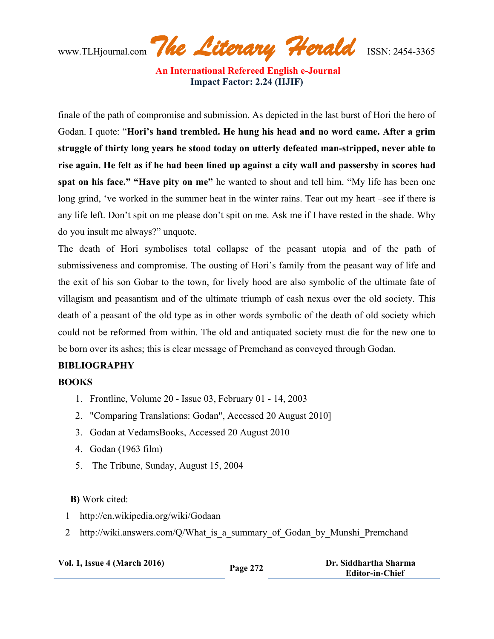www.TLHjournal.com *The Literary Herald*ISSN: 2454-3365

finale of the path of compromise and submission. As depicted in the last burst of Hori the hero of Godan. I quote: "**Hori's hand trembled. He hung his head and no word came. After a grim struggle of thirty long years he stood today on utterly defeated man-stripped, never able to** rise again. He felt as if he had been lined up against a city wall and passersby in scores had **spat on his face." "Have pity on me"** he wanted to shout and tell him. "My life has been one long grind, 've worked in the summer heat in the winter rains. Tear out my heart –see if there is any life left. Don't spit on me please don't spit on me. Ask me if I have rested in the shade. Why do you insult me always?" unquote.

The death of Hori symbolises total collapse of the peasant utopia and of the path of submissiveness and compromise. The ousting of Hori's family from the peasant way of life and the exit of his son Gobar to the town, for lively hood are also symbolic of the ultimate fate of villagism and peasantism and of the ultimate triumph of cash nexus over the old society. This death of a peasant of the old type as in other words symbolic of the death of old society which could not be reformed from within. The old and antiquated society must die for the new one to be born over its ashes; this is clear message of Premchand as conveyed through Godan.

## **BIBLIOGRAPHY**

## **BOOKS**

- 1. Frontline, Volume 20 Issue 03, February 01 14, 2003
- 2. "Comparing Translations: Godan", Accessed 20 August 2010]
- 3. Godan at VedamsBooks, Accessed 20 August 2010
- 4. Godan (1963 film)
- 5. The Tribune, Sunday, August 15, 2004

#### **B)** Work cited:

- 1 http://en.wikipedia.org/wiki/Godaan
- 2 http://wiki.answers.com/Q/What is a summary of Godan by Munshi Premchand

| <b>Vol. 1, Issue 4 (March 2016)</b> | Page 272 | Dr. Siddhartha Sharma |
|-------------------------------------|----------|-----------------------|
|                                     |          | Editor-in-Chief       |